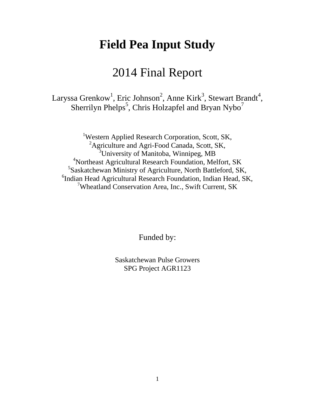# **Field Pea Input Study**

# 2014 Final Report

Laryssa Grenkow<sup>1</sup>, Eric Johnson<sup>2</sup>, Anne Kirk<sup>3</sup>, Stewart Brandt<sup>4</sup>, Sherrilyn Phelps<sup>5</sup>, Chris Holzapfel and Bryan Nybo<sup>7</sup>

<sup>1</sup>Western Applied Research Corporation, Scott, SK, <sup>2</sup>Agriculture and Agri-Food Canada, Scott, SK, <sup>3</sup>University of Manitoba, Winnipeg, MB <sup>4</sup>Northeast Agricultural Research Foundation, Melfort, SK 5 Saskatchewan Ministry of Agriculture, North Battleford, SK, 6 Indian Head Agricultural Research Foundation, Indian Head, SK, <sup>7</sup>Wheatland Conservation Area, Inc., Swift Current, SK

Funded by:

Saskatchewan Pulse Growers SPG Project AGR1123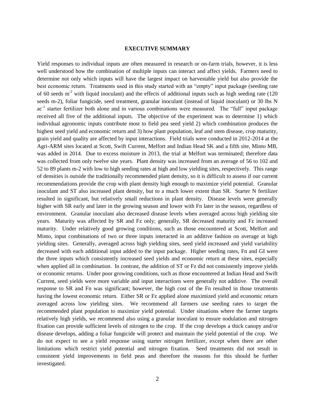## **EXECUTIVE SUMMARY**

Yield responses to individual inputs are often measured in research or on-farm trials, however, it is less well understood how the combination of multiple inputs can interact and affect yields. Farmers need to determine not only which inputs will have the largest impact on harvestable yield but also provide the best economic return. Treatments used in this study started with an "empty" input package (seeding rate of 60 seeds  $m<sup>2</sup>$  with liquid inoculant) and the effects of additional inputs such as high seeding rate (120) seeds m-2), foliar fungicide, seed treatment, granular inoculant (instead of liquid inoculant) or 30 lbs N ac<sup>-1</sup> starter fertilizer both alone and in various combinations were measured. The "full" input package received all five of the additional inputs. The objective of the experiment was to determine 1) which individual agronomic inputs contribute most to field pea seed yield 2) which combination produces the highest seed yield and economic return and 3) how plant population, leaf and stem disease, crop maturity, grain yield and quality are affected by input interactions. Field trials were conducted in 2012-2014 at the Agri-ARM sites located at Scott, Swift Current, Melfort and Indian Head SK and a fifth site, Minto MB, was added in 2014. Due to excess moisture in 2013, the trial at Melfort was terminated; therefore data was collected from only twelve site years. Plant density was increased from an average of 56 to 102 and 52 to 89 plants m-2 with low to high seeding rates at high and low yielding sites, respectively. This range of densities is outside the traditionally recommended plant density, so it is difficult to assess if our current recommendations provide the crop with plant density high enough to maximize yield potential. Granular inoculant and ST also increased plant density, but to a much lower extent than SR. Starter N fertilizer resulted in significant, but relatively small reductions in plant density. Disease levels were generally higher with SR early and later in the growing season and lower with Fn later in the season, regardless of environment. Granular inoculant also decreased disease levels when averaged across high yielding site years. Maturity was affected by SR and Fz only; generally, SR decreased maturity and Fz increased maturity. Under relatively good growing conditions, such as those encountered at Scott, Melfort and Minto, input combinations of two or three inputs interacted in an additive fashion on average at high yielding sites. Generally, averaged across high yielding sites, seed yield increased and yield variability decreased with each additional input added to the input package. Higher seeding rates, Fn and GI were the three inputs which consistently increased seed yields and economic return at these sites, especially when applied all in combination. In contrast, the addition of ST or Fz did not consistently improve yields or economic returns. Under poor growing conditions, such as those encountered at Indian Head and Swift Current, seed yields were more variable and input interactions were generally not additive. The overall response to SR and Fn was significant; however, the high cost of the Fn resulted in those treatments having the lowest economic return. Either SR or Fz applied alone maximized yield and economic return averaged across low yielding sites. We recommend all farmers use seeding rates to target the recommended plant population to maximize yield potential. Under situations where the farmer targets relatively high yields, we recommend also using a granular inoculant to ensure nodulation and nitrogen fixation can provide sufficient levels of nitrogen to the crop. If the crop develops a thick canopy and/or disease develops, adding a foliar fungicide will protect and maintain the yield potential of the crop. We do not expect to see a yield response using starter nitrogen fertilizer, except when there are other limitations which restrict yield potential and nitrogen fixation. Seed treatments did not result in consistent yield improvements in field peas and therefore the reasons for this should be further investigated.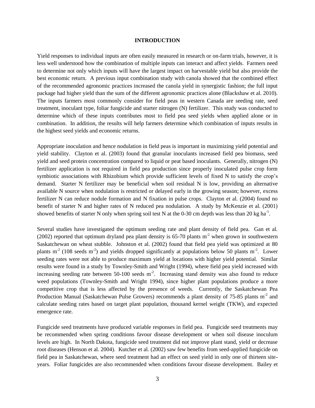## **INTRODUCTION**

Yield responses to individual inputs are often easily measured in research or on-farm trials, however, it is less well understood how the combination of multiple inputs can interact and affect yields. Farmers need to determine not only which inputs will have the largest impact on harvestable yield but also provide the best economic return. A previous input combination study with canola showed that the combined effect of the recommended agronomic practices increased the canola yield in synergistic fashion; the full input package had higher yield than the sum of the different agronomic practices alone (Blackshaw et al. 2010). The inputs farmers most commonly consider for field peas in western Canada are seeding rate, seed treatment, inoculant type, foliar fungicide and starter nitrogen (N) fertilizer. This study was conducted to determine which of these inputs contributes most to field pea seed yields when applied alone or in combination. In addition, the results will help farmers determine which combination of inputs results in the highest seed yields and economic returns.

Appropriate inoculation and hence nodulation in field peas is important in maximizing yield potential and yield stability. Clayton et al. (2003) found that granular inoculants increased field pea biomass, seed yield and seed protein concentration compared to liquid or peat based inoculants. Generally, nitrogen (N) fertilizer application is not required in field pea production since properly inoculated pulse crop form symbiotic associations with Rhizobium which provide sufficient levels of fixed N to satisfy the crop's demand. Starter N fertilizer may be beneficial when soil residual N is low, providing an alternative available N source when nodulation is restricted or delayed early in the growing season; however, excess fertilizer N can reduce nodule formation and N fixation in pulse crops. Clayton et al. (2004) found no benefit of starter N and higher rates of N reduced pea nodulation. A study by McKenzie et al. (2001) showed benefits of starter N only when spring soil test N at the 0-30 cm depth was less than 20 kg ha<sup>-1</sup>.

Several studies have investigated the optimum seeding rate and plant density of field pea. Gan et al. (2002) reported that optimum dryland pea plant density is 65-70 plants  $m<sup>2</sup>$  when grown in southwestern Saskatchewan on wheat stubble. Johnston et al. (2002) found that field pea yield was optimized at 80 plants  $m<sup>2</sup>$  (108 seeds  $m<sup>2</sup>$ ) and yields dropped significantly at populations below 50 plants  $m<sup>2</sup>$ . Lower seeding rates were not able to produce maximum yield at locations with higher yield potential. Similar results were found in a study by Townley-Smith and Wright (1994), where field pea yield increased with increasing seeding rate between  $50-100$  seeds  $m<sup>2</sup>$ . Increasing stand density was also found to reduce weed populations (Townley-Smith and Wright 1994), since higher plant populations produce a more competitive crop that is less affected by the presence of weeds. Currently, the Saskatchewan Pea Production Manual (Saskatchewan Pulse Growers) recommends a plant density of 75-85 plants  $m<sup>2</sup>$  and calculate seeding rates based on target plant population, thousand kernel weight (TKW), and expected emergence rate.

Fungicide seed treatments have produced variable responses in field pea. Fungicide seed treatments may be recommended when spring conditions favour disease development or when soil disease inoculum levels are high. In North Dakota, fungicide seed treatment did not improve plant stand, yield or decrease root diseases (Henson et al. 2004). Kutcher et al. (2002) saw few benefits from seed-applied fungicide on field pea in Saskatchewan, where seed treatment had an effect on seed yield in only one of thirteen siteyears. Foliar fungicides are also recommended when conditions favour disease development. Bailey et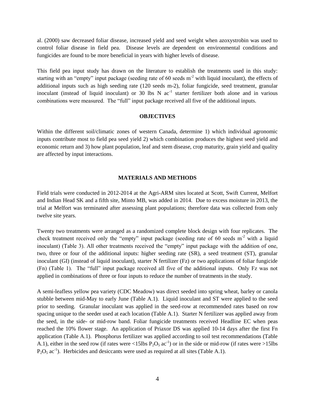al. (2000) saw decreased foliar disease, increased yield and seed weight when azoxystrobin was used to control foliar disease in field pea. Disease levels are dependent on environmental conditions and fungicides are found to be more beneficial in years with higher levels of disease.

This field pea input study has drawn on the literature to establish the treatments used in this study: starting with an "empty" input package (seeding rate of 60 seeds  $m<sup>-2</sup>$  with liquid inoculant), the effects of additional inputs such as high seeding rate (120 seeds m-2), foliar fungicide, seed treatment, granular inoculant (instead of liquid inoculant) or 30 lbs N  $ac^{-1}$  starter fertilizer both alone and in various combinations were measured. The "full" input package received all five of the additional inputs.

# **OBJECTIVES**

Within the different soil/climatic zones of western Canada, determine 1) which individual agronomic inputs contribute most to field pea seed yield 2) which combination produces the highest seed yield and economic return and 3) how plant population, leaf and stem disease, crop maturity, grain yield and quality are affected by input interactions.

## **MATERIALS AND METHODS**

Field trials were conducted in 2012-2014 at the Agri-ARM sites located at Scott, Swift Current, Melfort and Indian Head SK and a fifth site, Minto MB, was added in 2014. Due to excess moisture in 2013, the trial at Melfort was terminated after assessing plant populations; therefore data was collected from only twelve site years.

Twenty two treatments were arranged as a randomized complete block design with four replicates. The check treatment received only the "empty" input package (seeding rate of 60 seeds m<sup>-2</sup> with a liquid inoculant) (Table 3). All other treatments received the "empty" input package with the addition of one, two, three or four of the additional inputs: higher seeding rate (SR), a seed treatment (ST), granular inoculant (GI) (instead of liquid inoculant), starter N fertilizer (Fz) or two applications of foliar fungicide (Fn) (Table 1). The "full" input package received all five of the additional inputs. Only Fz was not applied in combinations of three or four inputs to reduce the number of treatments in the study.

A semi-leafless yellow pea variety (CDC Meadow) was direct seeded into spring wheat, barley or canola stubble between mid-May to early June (Table A.1). Liquid inoculant and ST were applied to the seed prior to seeding. Granular inoculant was applied in the seed-row at recommended rates based on row spacing unique to the seeder used at each location (Table A.1). Starter N fertilizer was applied away from the seed, in the side- or mid-row band. Foliar fungicide treatments received Headline EC when peas reached the 10% flower stage. An application of Priaxor DS was applied 10-14 days after the first Fn application (Table A.1). Phosphorus fertilizer was applied according to soil test recommendations (Table A.1), either in the seed row (if rates were <15lbs  $P_2O_5$  ac<sup>-1</sup>) or in the side or mid-row (if rates were >15lbs  $P_2O_5$  ac<sup>-1</sup>). Herbicides and desiccants were used as required at all sites (Table A.1).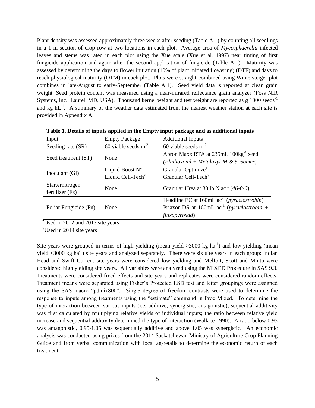Plant density was assessed approximately three weeks after seeding (Table A.1) by counting all seedlings in a 1 m section of crop row at two locations in each plot. Average area of *Mycosphaerella* infected leaves and stems was rated in each plot using the Xue scale (Xue et al. 1997) near timing of first fungicide application and again after the second application of fungicide (Table A.1). Maturity was assessed by determining the days to flower initiation (10% of plant initiated flowering) (DTF) and days to reach physiological maturity (DTM) in each plot. Plots were straight-combined using Wintersteiger plot combines in late-August to early-September (Table A.1). Seed yield data is reported at clean grain weight. Seed protein content was measured using a near-infrared reflectance grain analyzer (Foss NIR Systems, Inc., Laurel, MD, USA). Thousand kernel weight and test weight are reported as g 1000 seeds<sup>-1</sup> and kg  $hL^{-1}$ . A summary of the weather data estimated from the nearest weather station at each site is provided in Appendix A.

|                       | Table 1. Details of inputs applied in the Empty input package and as additional inputs |                                                                   |  |  |  |  |  |  |  |  |
|-----------------------|----------------------------------------------------------------------------------------|-------------------------------------------------------------------|--|--|--|--|--|--|--|--|
| Input                 | <b>Empty Package</b>                                                                   | <b>Additional Inputs</b>                                          |  |  |  |  |  |  |  |  |
| Seeding rate (SR)     | 60 viable seeds $m^{-2}$                                                               | 60 viable seeds $m-2$                                             |  |  |  |  |  |  |  |  |
| Seed treatment (ST)   | None                                                                                   | Apron Maxx RTA at 235mL 100kg <sup>-1</sup> seed                  |  |  |  |  |  |  |  |  |
|                       |                                                                                        | (Fludioxonil + Metalaxyl-M & S-isomer)                            |  |  |  |  |  |  |  |  |
|                       | Liquid Boost $N^z$                                                                     | Granular Optimize <sup>z</sup>                                    |  |  |  |  |  |  |  |  |
| Inoculant (GI)        | Liquid Cell-Tech <sup>y</sup>                                                          | Granular Cell-Tech <sup>y</sup>                                   |  |  |  |  |  |  |  |  |
| Starternitrogen       | None                                                                                   | Granular Urea at 30 lb N $ac^{-1}$ (46-0-0)                       |  |  |  |  |  |  |  |  |
| fertilizer $(Fz)$     |                                                                                        |                                                                   |  |  |  |  |  |  |  |  |
|                       |                                                                                        | Headline EC at $160mL$ ac <sup>-1</sup> ( <i>pyraclostrobin</i> ) |  |  |  |  |  |  |  |  |
| Foliar Fungicide (Fn) | None                                                                                   | Priaxor DS at 160mL $ac^{-1}$ ( <i>pyraclostrobin</i> +           |  |  |  |  |  |  |  |  |
|                       |                                                                                        | fluxapyroxad)                                                     |  |  |  |  |  |  |  |  |

 $\mathrm{^{2}U}\text{sed}$  in 2012 and 2013 site years

 $y$ Used in 2014 site years

Site years were grouped in terms of high yielding (mean yield  $>3000$  kg ha<sup>-1</sup>) and low-yielding (mean yield  $<3000$  kg ha<sup>-1</sup>) site years and analyzed separately. There were six site years in each group: Indian Head and Swift Current site years were considered low yielding and Melfort, Scott and Minto were considered high yielding site years. All variables were analyzed using the MIXED Procedure in SAS 9.3. Treatments were considered fixed effects and site years and replicates were considered random effects. Treatment means were separated using Fisher's Protected LSD test and letter groupings were assigned using the SAS macro "pdmix800". Single degree of freedom contrasts were used to determine the response to inputs among treatments using the "estimate" command in Proc Mixed. To determine the type of interaction between various inputs (i.e. additive, synergistic, antagonistic), sequential additivity was first calculated by multiplying relative yields of individual inputs; the ratio between relative yield increase and sequential additivity determined the type of interaction (Wallace 1990). A ratio below 0.95 was antagonistic, 0.95-1.05 was sequentially additive and above 1.05 was synergistic. An economic analysis was conducted using prices from the 2014 Saskatchewan Ministry of Agriculture Crop Planning Guide and from verbal communication with local ag-retails to determine the economic return of each treatment.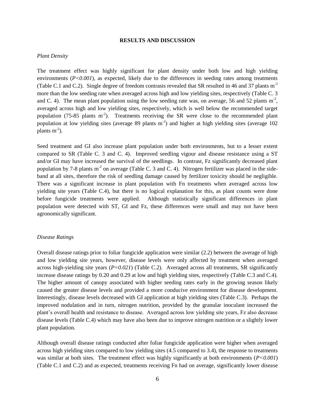## **RESULTS AND DISCUSSION**

## *Plant Density*

The treatment effect was highly significant for plant density under both low and high yielding environments (*P*<0.001), as expected, likely due to the differences in seeding rates among treatments (Table C.1 and C.2). Single degree of freedom contrasts revealed that SR resulted in 46 and 37 plants m-2 more than the low seeding rate when averaged across high and low yielding sites, respectively (Table C. 3 and C. 4). The mean plant population using the low seeding rate was, on average, 56 and 52 plants  $m<sup>2</sup>$ , averaged across high and low yielding sites, respectively, which is well below the recommended target population (75-85 plants  $m<sup>2</sup>$ ). Treatments receiving the SR were close to the recommended plant population at low yielding sites (average 89 plants  $m<sup>-2</sup>$ ) and higher at high yielding sites (average 102 plants  $m^{-2}$ ).

Seed treatment and GI also increase plant population under both environments, but to a lesser extent compared to SR (Table C. 3 and C. 4). Improved seedling vigour and disease resistance using a ST and/or GI may have increased the survival of the seedlings. In contrast, Fz significantly decreased plant population by 7-8 plants  $m<sup>2</sup>$  on average (Table C. 3 and C. 4). Nitrogen fertilizer was placed in the sideband at all sites, therefore the risk of seedling damage caused by fertilizer toxicity should be negligible. There was a significant increase in plant population with Fn treatments when averaged across low yielding site years (Table C.4), but there is no logical explanation for this, as plant counts were done before fungicide treatments were applied. Although statistically significant differences in plant population were detected with ST, GI and Fz, these differences were small and may not have been agronomically significant.

## *Disease Ratings*

Overall disease ratings prior to foliar fungicide application were similar (2.2) between the average of high and low yielding site years, however, disease levels were only affected by treatment when averaged across high-yielding site years (*P=0.021*) (Table C.2). Averaged across all treatments, SR significantly increase disease ratings by 0.20 and 0.29 at low and high yielding sites, respectively (Table C.3 and C.4). The higher amount of canopy associated with higher seeding rates early in the growing season likely caused the greater disease levels and provided a more conducive environment for disease development. Interestingly, disease levels decreased with GI application at high yielding sites (Table C.3). Perhaps the improved nodulation and in turn, nitrogen nutrition, provided by the granular inoculant increased the plant's overall health and resistance to disease. Averaged across low yielding site years, Fz also decrease disease levels (Table C.4) which may have also been due to improve nitrogen nutrition or a slightly lower plant population.

Although overall disease ratings conducted after foliar fungicide application were higher when averaged across high yielding sites compared to low yielding sites (4.5 compared to 3.4), the response to treatments was similar at both sites. The treatment effect was highly significantly at both environments (*P<0.001*) (Table C.1 and C.2) and as expected, treatments receiving Fn had on average, significantly lower disease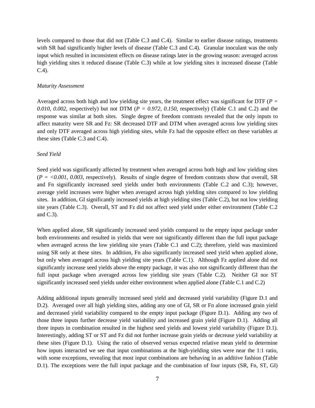levels compared to those that did not (Table C.3 and C.4). Similar to earlier disease ratings, treatments with SR had significantly higher levels of disease (Table C.3 and C.4). Granular inoculant was the only input which resulted in inconsistent effects on disease ratings later in the growing season: averaged across high yielding sites it reduced disease (Table C.3) while at low yielding sites it increased disease (Table C.4).

## *Maturity Assessment*

Averaged across both high and low yielding site years, the treatment effect was significant for DTF (*P = 0.010*, *0.002*, respectively) but not DTM (*P = 0.972*, *0.150*, respectively) (Table C.1 and C.2) and the response was similar at both sites. Single degree of freedom contrasts revealed that the only inputs to affect maturity were SR and Fz: SR decreased DTF and DTM when averaged across low yielding sites and only DTF averaged across high yielding sites, while Fz had the opposite effect on these variables at these sites (Table C.3 and C.4).

## *Seed Yield*

Seed yield was significantly affected by treatment when averaged across both high and low yielding sites  $(P = \langle 0.001, 0.003,$  respectively). Results of single degree of freedom contrasts show that overall, SR and Fn significantly increased seed yields under both environments (Table C.2 and C.3); however, average yield increases were higher when averaged across high yielding sites compared to low yielding sites. In addition, GI significantly increased yields at high yielding sites (Table C.2), but not low yielding site years (Table C.3). Overall, ST and Fz did not affect seed yield under either environment (Table C.2 and C.3).

When applied alone, SR significantly increased seed yields compared to the empty input package under both environments and resulted in yields that were not significantly different than the full input package when averaged across the low yielding site years (Table C.1 and C.2); therefore, yield was maximized using SR only at these sites. In addition, Fn also significantly increased seed yield when applied alone, but only when averaged across high yielding site years (Table C.1). Although Fz applied alone did not significantly increase seed yields above the empty package, it was also not significantly different than the full input package when averaged across low yielding site years (Table C.2). Neither GI nor ST significantly increased seed yields under either environment when applied alone (Table C.1 and C.2)

Adding additional inputs generally increased seed yield and decreased yield variability (Figure D.1 and D.2). Averaged over all high yielding sites, adding any one of GI, SR or Fn alone increased grain yield and decreased yield variability compared to the empty input package (Figure D.1). Adding any two of those three inputs further decrease yield variability and increased grain yield (Figure D.1). Adding all three inputs in combination resulted in the highest seed yields and lowest yield variability (Figure D.1). Interestingly, adding ST or ST and Fz did not further increase grain yields or decrease yield variability at these sites (Figure D.1). Using the ratio of observed versus expected relative mean yield to determine how inputs interacted we see that input combinations at the high-yielding sites were near the 1:1 ratio, with some exceptions, revealing that most input combinations are behaving in an additive fashion (Table D.1). The exceptions were the full input package and the combination of four inputs (SR, Fn, ST, GI)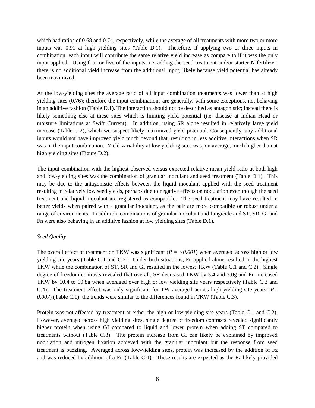which had ratios of 0.68 and 0.74, respectively, while the average of all treatments with more two or more inputs was 0.91 at high yielding sites (Table D.1). Therefore, if applying two or three inputs in combination, each input will contribute the same relative yield increase as compare to if it was the only input applied. Using four or five of the inputs, i.e. adding the seed treatment and/or starter N fertilizer, there is no additional yield increase from the additional input, likely because yield potential has already been maximized.

At the low-yielding sites the average ratio of all input combination treatments was lower than at high yielding sites (0.76); therefore the input combinations are generally, with some exceptions, not behaving in an additive fashion (Table D.1). The interaction should not be described as antagonistic; instead there is likely something else at these sites which is limiting yield potential (i.e. disease at Indian Head or moisture limitations at Swift Current). In addition, using SR alone resulted in relatively large yield increase (Table C.2), which we suspect likely maximized yield potential. Consequently, any additional inputs would not have improved yield much beyond that, resulting in less additive interactions when SR was in the input combination. Yield variability at low yielding sites was, on average, much higher than at high yielding sites (Figure D.2).

The input combination with the highest observed versus expected relative mean yield ratio at both high and low-yielding sites was the combination of granular inoculant and seed treatment (Table D.1). This may be due to the antagonistic effects between the liquid inoculant applied with the seed treatment resulting in relatively low seed yields, perhaps due to negative effects on nodulation even though the seed treatment and liquid inoculant are registered as compatible. The seed treatment may have resulted in better yields when paired with a granular inoculant, as the pair are more compatible or robust under a range of environments. In addition, combinations of granular inoculant and fungicide and ST, SR, GI and Fn were also behaving in an additive fashion at low yielding sites (Table D.1).

## *Seed Quality*

The overall effect of treatment on TKW was significant  $(P = <0.001)$  when averaged across high or low yielding site years (Table C.1 and C.2). Under both situations, Fn applied alone resulted in the highest TKW while the combination of ST, SR and GI resulted in the lowest TKW (Table C.1 and C.2). Single degree of freedom contrasts revealed that overall, SR decreased TKW by 3.4 and 3.0g and Fn increased TKW by 10.4 to 10.8g when averaged over high or low yielding site years respectively (Table C.3 and C.4). The treatment effect was only significant for TW averaged across high yielding site years (*P= 0.007*) (Table C.1); the trends were similar to the differences found in TKW (Table C.3).

Protein was not affected by treatment at either the high or low yielding site years (Table C.1 and C.2). However, averaged across high yielding sites, single degree of freedom contrasts revealed significantly higher protein when using GI compared to liquid and lower protein when adding ST compared to treatments without (Table C.3). The protein increase from GI can likely be explained by improved nodulation and nitrogen fixation achieved with the granular inoculant but the response from seed treatment is puzzling. Averaged across low-yielding sites, protein was increased by the addition of Fz and was reduced by addition of a Fn (Table C.4). These results are expected as the Fz likely provided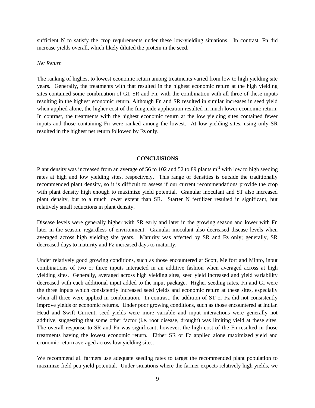sufficient N to satisfy the crop requirements under these low-yielding situations. In contrast, Fn did increase yields overall, which likely diluted the protein in the seed.

## *Net Return*

The ranking of highest to lowest economic return among treatments varied from low to high yielding site years. Generally, the treatments with that resulted in the highest economic return at the high yielding sites contained some combination of GI, SR and Fn, with the combination with all three of these inputs resulting in the highest economic return. Although Fn and SR resulted in similar increases in seed yield when applied alone, the higher cost of the fungicide application resulted in much lower economic return. In contrast, the treatments with the highest economic return at the low yielding sites contained fewer inputs and those containing Fn were ranked among the lowest. At low yielding sites, using only SR resulted in the highest net return followed by Fz only.

## **CONCLUSIONS**

Plant density was increased from an average of 56 to 102 and 52 to 89 plants  $m<sup>2</sup>$  with low to high seeding rates at high and low yielding sites, respectively. This range of densities is outside the traditionally recommended plant density, so it is difficult to assess if our current recommendations provide the crop with plant density high enough to maximize yield potential. Granular inoculant and ST also increased plant density, but to a much lower extent than SR. Starter N fertilizer resulted in significant, but relatively small reductions in plant density.

Disease levels were generally higher with SR early and later in the growing season and lower with Fn later in the season, regardless of environment. Granular inoculant also decreased disease levels when averaged across high yielding site years. Maturity was affected by SR and Fz only; generally, SR decreased days to maturity and Fz increased days to maturity.

Under relatively good growing conditions, such as those encountered at Scott, Melfort and Minto, input combinations of two or three inputs interacted in an additive fashion when averaged across at high yielding sites. Generally, averaged across high yielding sites, seed yield increased and yield variability decreased with each additional input added to the input package. Higher seeding rates, Fn and GI were the three inputs which consistently increased seed yields and economic return at these sites, especially when all three were applied in combination. In contrast, the addition of ST or Fz did not consistently improve yields or economic returns. Under poor growing conditions, such as those encountered at Indian Head and Swift Current, seed yields were more variable and input interactions were generally not additive, suggesting that some other factor (i.e. root disease, drought) was limiting yield at these sites. The overall response to SR and Fn was significant; however, the high cost of the Fn resulted in those treatments having the lowest economic return. Either SR or Fz applied alone maximized yield and economic return averaged across low yielding sites.

We recommend all farmers use adequate seeding rates to target the recommended plant population to maximize field pea yield potential. Under situations where the farmer expects relatively high yields, we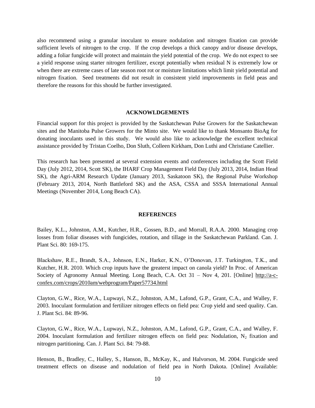also recommend using a granular inoculant to ensure nodulation and nitrogen fixation can provide sufficient levels of nitrogen to the crop. If the crop develops a thick canopy and/or disease develops, adding a foliar fungicide will protect and maintain the yield potential of the crop. We do not expect to see a yield response using starter nitrogen fertilizer, except potentially when residual N is extremely low or when there are extreme cases of late season root rot or moisture limitations which limit yield potential and nitrogen fixation. Seed treatments did not result in consistent yield improvements in field peas and therefore the reasons for this should be further investigated.

#### **ACKNOWLDGEMENTS**

Financial support for this project is provided by the Saskatchewan Pulse Growers for the Saskatchewan sites and the Manitoba Pulse Growers for the Minto site. We would like to thank Monsanto BioAg for donating inoculants used in this study. We would also like to acknowledge the excellent technical assistance provided by Tristan Coelho, Don Sluth, Colleen Kirkham, Don Luthi and Christiane Catellier.

This research has been presented at several extension events and conferences including the Scott Field Day (July 2012, 2014, Scott SK), the IHARF Crop Management Field Day (July 2013, 2014, Indian Head SK), the Agri-ARM Research Update (January 2013, Saskatoon SK), the Regional Pulse Workshop (February 2013, 2014, North Battleford SK) and the ASA, CSSA and SSSA International Annual Meetings (November 2014, Long Beach CA).

### **REFERENCES**

Bailey, K.L., Johnston, A.M., Kutcher, H.R., Gossen, B.D., and Morrall, R.A.A. 2000. Managing crop losses from foliar diseases with fungicides, rotation, and tillage in the Saskatchewan Parkland. Can. J. Plant Sci. 80: 169-175.

Blackshaw, R.E., Brandt, S.A., Johnson, E.N., Harker, K.N., O'Donovan, J.T. Turkington, T.K., and Kutcher, H.R. 2010. Which crop inputs have the greaterst impact on canola yield? In Proc. of American Society of Agronomy Annual Meeting. Long Beach, C.A. Oct 31 – Nov 4, 201. [Online] [http://a-c](http://a-c-confex.com/crops/2010am/webprogram/Paper57734.html)[confex.com/crops/2010am/webprogram/Paper57734.html](http://a-c-confex.com/crops/2010am/webprogram/Paper57734.html)

Clayton, G.W., Rice, W.A., Lupwayi, N.Z., Johnston, A.M., Lafond, G.P., Grant, C.A., and Walley, F. 2003. Inoculant formulation and fertilizer nitrogen effects on field pea: Crop yield and seed quality. Can. J. Plant Sci. 84: 89-96.

Clayton, G.W., Rice, W.A., Lupwayi, N.Z., Johnston, A.M., Lafond, G.P., Grant, C.A., and Walley, F. 2004. Inoculant formulation and fertilizer nitrogen effects on field pea: Nodulation,  $N_2$  fixation and nitrogen partitioning. Can. J. Plant Sci. 84: 79-88.

Henson, B., Bradley, C., Halley, S., Hanson, B., McKay, K., and Halvorson, M. 2004. Fungicide seed treatment effects on disease and nodulation of field pea in North Dakota. [Online] Available: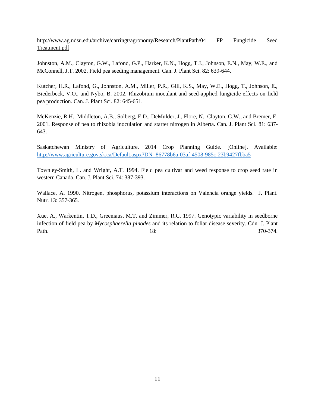# [http://www.ag.ndsu.edu/archive/carringt/agronomy/Research/PlantPath/04 FP Fungicide Seed](http://www.ag.ndsu.edu/archive/carringt/agronomy/Research/PlantPath/04%20FP%20Fungicide%20Seed%20Treatment.pdf)  [Treatment.pdf](http://www.ag.ndsu.edu/archive/carringt/agronomy/Research/PlantPath/04%20FP%20Fungicide%20Seed%20Treatment.pdf)

Johnston, A.M., Clayton, G.W., Lafond, G.P., Harker, K.N., Hogg, T.J., Johnson, E.N., May, W.E., and McConnell, J.T. 2002. Field pea seeding management. Can. J. Plant Sci. 82: 639-644.

Kutcher, H.R., Lafond, G., Johnston, A.M., Miller, P.R., Gill, K.S., May, W.E., Hogg, T., Johnson, E., Biederbeck, V.O., and Nybo, B. 2002. Rhizobium inoculant and seed-applied fungicide effects on field pea production. Can. J. Plant Sci. 82: 645-651.

McKenzie, R.H., Middleton, A.B., Solberg, E.D., DeMulder, J., Flore, N., Clayton, G.W., and Bremer, E. 2001. Response of pea to rhizobia inoculation and starter nitrogen in Alberta. Can. J. Plant Sci. 81: 637- 643.

Saskatchewan Ministry of Agriculture. 2014 Crop Planning Guide. [Online]. Available: <http://www.agriculture.gov.sk.ca/Default.aspx?DN=86778b6a-03af-4508-985c-23b9427fbba5>

Townley-Smith, L. and Wright, A.T. 1994. Field pea cultivar and weed response to crop seed rate in western Canada. Can. J. Plant Sci. 74: 387-393.

Wallace, A. 1990. Nitrogen, phosphorus, potassium interactions on Valencia orange yields. J. Plant. Nutr. 13: 357-365.

Xue, A., Warkentin, T.D., Greeniaus, M.T. and Zimmer, R.C. 1997. Genotypic variability in seedborne infection of field pea by *Mycosphaerella pinodes* and its relation to foliar disease severity. Cdn. J. Plant Path. 370-374.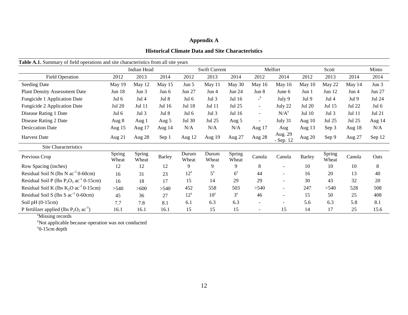# **Appendix A**

# **Historical Climate Data and Site Characteristics**

| able tree building y of field operations and site endiacteristics from an site years |                 | Indian Head     |               |                | <b>Swift Current</b> |                 |              | Melfort                  |               | Scott            |          | Minto         |
|--------------------------------------------------------------------------------------|-----------------|-----------------|---------------|----------------|----------------------|-----------------|--------------|--------------------------|---------------|------------------|----------|---------------|
| <b>Field Operation</b>                                                               | 2012            | 2013            | 2014          | 2012           | 2013                 | 2014            | 2012         | 2014                     | 2012          | 2013             | 2014     | 2014          |
| Seeding Date                                                                         | May 19          | May 12          | May 15        | Jun 5          | May 11               | May 30          | May 16       | May 16                   | May 10        | May 22           | May $14$ | Jun 3         |
| <b>Plant Density Assessment Date</b>                                                 | <b>Jun 18</b>   | Jun 3           | Jun 6         | <b>Jun 27</b>  | Jun 4                | <b>Jun 24</b>   | Jun 8        | June 6                   | Jun 1         | Jun $12$         | Jun 4    | <b>Jun 27</b> |
| Fungicide 1 Application Date                                                         | Jul 6           | Jul $4$         | Jul 8         | Jul 6          | Jul 3                | Jul 16          | $\mathbf{z}$ | July 9                   | Jul 9         | Jul <sub>4</sub> | Jul 9    | Jul 24        |
| Fungicide 2 Application Date                                                         | Jul 20          | Jul 11          | Jul 16        | Jul 18         | Jul 11               | Jul 25          | $\sim$       | July 22                  | Jul 20        | Jul 15           | Jul 22   | Jul 6         |
| Disease Rating 1 Date                                                                | Jul 6           | Jul 3           | Jul 8         | Jul $6$        | Jul 3                | Jul 16          | $\sim$       | N/A <sup>y</sup>         | Jul 10        | Jul 3            | Jul 11   | <b>Jul 21</b> |
| Disease Rating 2 Date                                                                | Aug 8           | Aug 1           | Aug 5         | Jul 30         | Jul 25               | Aug 5           | $\sim$       | July 31                  | Aug $10$      | Jul 25           | Jul 25   | Aug 14        |
| <b>Desiccation Date</b>                                                              | Aug 15          | Aug 17          | Aug 14        | N/A            | N/A                  | N/A             | Aug 17       | Aug                      | Aug 13        | Sep 3            | Aug 18   | N/A           |
| <b>Harvest Date</b>                                                                  | Aug 21          | Aug 28          | Sep 1         | Aug 12         | Aug 19               | Aug 27          | Aug 28       | Aug. 29<br>$-$ Sep. 12   | Aug 20        | Sep 9            | Aug 27   | Sep 12        |
| <b>Site Characteristics</b>                                                          |                 |                 |               |                |                      |                 |              |                          |               |                  |          |               |
| Previous Crop                                                                        | Spring<br>Wheat | Spring<br>Wheat | <b>Barley</b> | Durum<br>Wheat | Durum<br>Wheat       | Spring<br>Wheat | Canola       | Canola                   | <b>Barley</b> | Spring<br>Wheat  | Canola   | Oats          |
| Row Spacing (inches)                                                                 | 12              | 12              | 12            | 9              | 9                    | 9               | 8            | ۰                        | 10            | 10               | 10       | 8             |
| Residual Soil N (lbs $N$ ac <sup>-1</sup> 0-60cm)                                    | 16              | 31              | 23            | $12^z$         | $5^{\rm z}$          | $6^{\rm z}$     | 44           | $\overline{\phantom{0}}$ | 16            | 20               | 13       | 40            |
| Residual Soil P (lbs $P_2O_5$ ac <sup>-1</sup> 0-15cm)                               | 16              | 18              | 17            | 15             | 14                   | 29              | 29           | ۰                        | 30            | 43               | 32       | 20            |
| Residual Soil K (lbs $K_2O$ ac <sup>-1</sup> 0-15cm)                                 | >540            | >600            | >540          | 452            | 558                  | 503             | >540         | $\sim$                   | 247           | >540             | 528      | 508           |
| Residual Soil S (lbs S $ac^{-1}$ 0-60cm)                                             | 45              | 36              | 27            | $12^z$         | $10^z$               | $3^z$           | 46           | $\overline{\phantom{0}}$ | 15            | 50               | 25       | 408           |
| Soil $pH(0-15cm)$                                                                    | 7.7             | 7.8             | 8.1           | 6.1            | 6.3                  | 6.3             | $\sim$       | ۰                        | 5.6           | 6.3              | 5.8      | 8.1           |
| P fertilizer applied (lbs $P_2O_5$ ac <sup>-1</sup> )                                | 16.1            | 16.1            | 16.1          | 15             | 15                   | 15              |              | 15                       | 14            | 17               | 25       | 15.6          |

**Table A.1.** Summary of field operations and site characteristics from all site years

<sup>z</sup>Missing records

<sup>y</sup>Not applicable because operation was not conducted

 $x$ <sup>0</sup>-15cm depth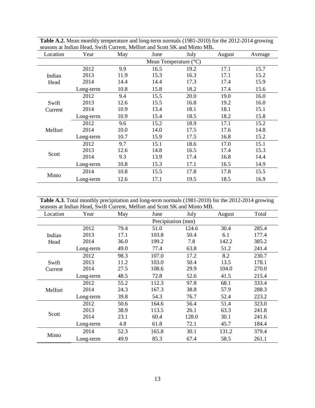| Location | Year      | May                            | June | July | August | Average |  |  |  |  |
|----------|-----------|--------------------------------|------|------|--------|---------|--|--|--|--|
|          |           | Mean Temperature $(^{\circ}C)$ |      |      |        |         |  |  |  |  |
|          | 2012      | 9.9                            | 16.5 | 19.2 | 17.1   | 15.7    |  |  |  |  |
| Indian   | 2013      | 11.9                           | 15.3 | 16.3 | 17.1   | 15.2    |  |  |  |  |
| Head     | 2014      | 14.4                           | 14.4 | 17.3 | 17.4   | 15.9    |  |  |  |  |
|          | Long-term | 10.8                           | 15.8 | 18.2 | 17.4   | 15.6    |  |  |  |  |
|          | 2012      | 9.4                            | 15.5 | 20.0 | 19.0   | 16.0    |  |  |  |  |
| Swift    | 2013      | 12.6                           | 15.5 | 16.8 | 19.2   | 16.0    |  |  |  |  |
| Current  | 2014      | 10.9                           | 13.4 | 18.1 | 18.1   | 15.1    |  |  |  |  |
|          | Long-term | 10.9                           | 15.4 | 18.5 | 18.2   | 15.8    |  |  |  |  |
|          | 2012      | 9.6                            | 15.2 | 18.9 | 17.1   | 15.2    |  |  |  |  |
| Melfort  | 2014      | 10.0                           | 14.0 | 17.5 | 17.6   | 14.8    |  |  |  |  |
|          | Long-term | 10.7                           | 15.9 | 17.5 | 16.8   | 15.2    |  |  |  |  |
|          | 2012      | 9.7                            | 15.1 | 18.6 | 17.0   | 15.1    |  |  |  |  |
|          | 2013      | 12.6                           | 14.8 | 16.5 | 17.4   | 15.3    |  |  |  |  |
| Scott    | 2014      | 9.3                            | 13.9 | 17.4 | 16.8   | 14.4    |  |  |  |  |
|          | Long-term | 10.8                           | 15.3 | 17.1 | 16.5   | 14.9    |  |  |  |  |
|          | 2014      | 10.8                           | 15.5 | 17.8 | 17.8   | 15.5    |  |  |  |  |
| Minto    | Long-term | 12.6                           | 17.1 | 19.5 | 18.5   | 16.9    |  |  |  |  |

**Table A.2.** Mean monthly temperature and long-term normals (1981-2010) for the 2012-2014 growing seasons at Indian Head, Swift Current, Melfort and Scott SK and Minto MB**.**

Table A.3. Total monthly precipitation and long-term normals (1981-2010) for the 2012-2014 growing seasons at Indian Head, Swift Current, Melfort and Scott SK and Minto MB.

| Location | Year      | May  | June               | July  | August | Total |
|----------|-----------|------|--------------------|-------|--------|-------|
|          |           |      | Precipitation (mm) |       |        |       |
|          | 2012      | 79.4 | 51.0               | 124.6 | 30.4   | 285.4 |
| Indian   | 2013      | 17.1 | 103.8              | 50.4  | 6.1    | 177.4 |
| Head     | 2014      | 36.0 | 199.2              | 7.8   | 142.2  | 385.2 |
|          | Long-term | 49.0 | 77.4               | 63.8  | 51.2   | 241.4 |
|          | 2012      | 98.3 | 107.0              | 17.2  | 8.2    | 230.7 |
| Swift    | 2013      | 11.2 | 103.0              | 50.4  | 13.5   | 178.1 |
| Current  | 2014      | 27.5 | 108.6              | 29.9  | 104.0  | 270.0 |
|          | Long-term | 48.5 | 72.8               | 52.6  | 41.5   | 215.4 |
|          | 2012      | 55.2 | 112.3              | 97.8  | 68.1   | 333.4 |
| Melfort  | 2014      | 24.3 | 167.3              | 38.8  | 57.9   | 288.3 |
|          | Long-term | 39.8 | 54.3               | 76.7  | 52.4   | 223.2 |
|          | 2012      | 50.6 | 164.6              | 56.4  | 51.4   | 323.0 |
|          | 2013      | 38.9 | 113.5              | 26.1  | 63.3   | 241.8 |
| Scott    | 2014      | 23.1 | 60.4               | 128.0 | 30.1   | 241.6 |
|          | Long-term | 4.8  | 61.8               | 72.1  | 45.7   | 184.4 |
|          | 2014      | 52.3 | 165.8              | 30.1  | 131.2  | 379.4 |
| Minto    | Long-term | 49.9 | 85.3               | 67.4  | 58.5   | 261.1 |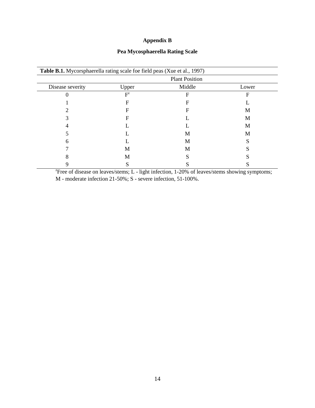# **Appendix B**

# **Pea Mycosphaerella Rating Scale**

|                  | <b>Plant Position</b> |        |       |  |  |  |  |  |
|------------------|-----------------------|--------|-------|--|--|--|--|--|
| Disease severity | Upper                 | Middle | Lower |  |  |  |  |  |
|                  | $F^z$                 | F      | F     |  |  |  |  |  |
|                  | F                     | F      |       |  |  |  |  |  |
|                  | F                     | F      | M     |  |  |  |  |  |
|                  | F                     |        | M     |  |  |  |  |  |
|                  |                       |        | M     |  |  |  |  |  |
|                  |                       | M      | M     |  |  |  |  |  |
| h                |                       | M      |       |  |  |  |  |  |
|                  | M                     | M      |       |  |  |  |  |  |
|                  | M                     |        |       |  |  |  |  |  |
|                  |                       |        |       |  |  |  |  |  |

<sup>2</sup> Free of disease on leaves/stems; L - light infection,  $1-20\%$  of leaves/stems showing symptoms; M - moderate infection 21-50%; S - severe infection, 51-100%.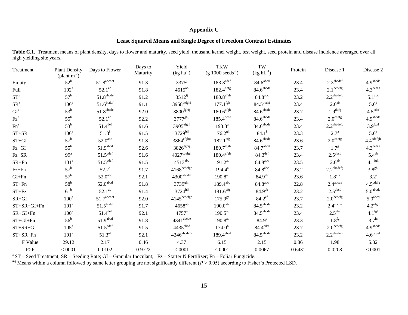# **Appendix C**

# **Least Squared Means and Single Degree of Freedom Contrast Estimates**

| Treatment       | <b>Plant Density</b><br>(plant $m^{-2}$ ) | Days to Flower           | Days to<br>Maturity | Yield<br>$(kg ha-1)$      | <b>TKW</b><br>$(g 1000 \text{ seeds}^{-1})$ | TW<br>$(kg hL^{-1})$    | Protein | Disease 1                | Disease 2               |
|-----------------|-------------------------------------------|--------------------------|---------------------|---------------------------|---------------------------------------------|-------------------------|---------|--------------------------|-------------------------|
| Empty           | $52^b$                                    | $51.8$ <sup>abcdef</sup> | 91.3                | $3375^{j}$                | $183.3^{\text{cdef}}$                       | $84.6$ <sup>abcd</sup>  | 23.4    | 2.3 <sup>abcdef</sup>    | 4.9 <sup>abcde</sup>    |
| Full            | 102 <sup>a</sup>                          | $52.1^{ab}$              | 91.8                | $4615^{ab}$               | $182.4^{\text{defg}}$                       | 84.6 <sup>abcde</sup>   | 23.4    | $2.1$ <sup>bcdefg</sup>  | $4.3^{\rm defgh}$       |
| $ST^z$          | $57^{\rm b}$                              | 51.8 <sup>abcde</sup>    | 91.2                | $3512^{ij}$               | $180.8^{\rm efgh}$                          | 84.8 <sup>abc</sup>     | 23.2    | 2.2 <sup>abcdefg</sup>   | 5.1 <sup>abc</sup>      |
| SR <sup>z</sup> | 106 <sup>a</sup>                          | $51.6$ bcdef             | 91.1                | $3958^{\rm defghi}$       | $177.1$ <sup>fgh</sup>                      | 84.5 <sup>bcdef</sup>   | 23.4    | $2.6^{ab}$               | 5.6 <sup>a</sup>        |
| GI <sup>z</sup> | $53^{\rm b}$                              | $51.8^{\rm abcde}$       | 92.0                | $3800$ <sup>fghij</sup>   | $180.6^{\rm efgh}$                          | $84.6$ <sup>abcde</sup> | 23.7    | $1.9^{\rm defg}$         | 4.5 <sup>cdef</sup>     |
| $Fz^z$          | $55^{\rm b}$                              | $52.1^{ab}$              | 92.2                | 3777 <sup>ghij</sup>      | $185.4$ bcde                                | 84.6 <sup>abcde</sup>   | 23.4    | $2.0^{\text{cdefg}}$     | 4.9 <sup>abcde</sup>    |
| $Fn^z$          | 53 <sup>b</sup>                           | $51.4$ <sup>def</sup>    | 91.6                | $3905^{\text{efghi}}$     | $193.3^{a}$                                 | 84.6 <sup>abcde</sup>   | 23.4    | $2.2^{\text{abcdefg}}$   | 3.9 <sup>fghi</sup>     |
| $ST+SR$         | 106 <sup>a</sup>                          | $51.3^f$                 | 91.5                | $3729$ hij                | $176.2^{gh}$                                | $84.1^{f}$              | 23.3    | $2.7^{\rm a}$            | $5.6^a$                 |
| $ST+GI$         | $57^{\rm b}$                              | 52.0 <sup>abc</sup>      | 91.8                | $3864$ <sup>efghij</sup>  | $182.1$ <sup>efg</sup>                      | 84.6 <sup>abcde</sup>   | 23.6    | $2.0^{\text{cdefg}}$     | $4.4^{\mathrm{cdefgh}}$ |
| $Fz+GI$         | $55^{\rm b}$                              | 51.9 <sup>abcd</sup>     | 92.6                | $3826$ <sup>fghij</sup>   | $180.7^{\rm efgh}$                          | 84.7abcd                | 23.7    | $1.7^{g}$                | $4.3^{\rm defgh}$       |
| $Fz + SR$       | 99 <sup>a</sup>                           | $51.5$ <sup>cdef</sup>   | 91.6                | $4027^{\mathrm{cdefgh}}$  | $180.4$ <sup>efgh</sup>                     | $84.3$ <sup>def</sup>   | 23.4    | 2.5 <sup>abcd</sup>      | $5.4^{ab}$              |
| $SR + Fn$       | 101 <sup>a</sup>                          | 51.5 <sup>cdef</sup>     | 91.5                | $4513^{\text{abc}}$       | $191.2^{ab}$                                | 84.8 <sup>abc</sup>     | 23.5    | $2.6^{ab}$               | 4.1 <sup>fgh</sup>      |
| $Fz + Fn$       | $57^{\rm b}$                              | $52.2^a$                 | 91.7                | $4168^{bcdefgh}$          | $194.4^a$                                   | 84.8 <sup>abc</sup>     | 23.2    | $2.2^{\mathrm{abcdefg}}$ | 3.8 <sup>ghi</sup>      |
| $GI+Fn$         | $57^{\rm b}$                              | 52.0 <sup>abc</sup>      | 92.1                | 4300 <sup>abcdef</sup>    | $190.8^{ab}$                                | 84.9 <sup>ab</sup>      | 23.6    | 1.8 <sup>efg</sup>       | $3.2^{\mathrm{i}}$      |
| $ST + Fn$       | $58^{\rm b}$                              | 52.0 <sup>abcd</sup>     | 91.8                | 3739 <sup>ghij</sup>      | $189.4$ <sup>abc</sup>                      | 84.8 <sup>abc</sup>     | 22.8    | $2.4^{\text{abcde}}$     | $4.5^{\text{cdefg}}$    |
| $ST + Fz$       | 61 <sup>b</sup>                           | $52.1^{ab}$              | 91.4                | $3724$ hij                | $181.6$ <sup>efg</sup>                      | 84.9 <sup>ab</sup>      | 23.2    | 2.5 <sup>abcd</sup>      | 5.0 <sup>abcde</sup>    |
| $SR+GI$         | $100^a$                                   | $51.7^{\text{abcdef}}$   | 92.0                | 4145 <sup>bcdefgh</sup>   | $175.9^{gh}$                                | $84.2$ <sup>ef</sup>    | 23.7    | $2.0^{\rm bcdefg}$       | 5.0 <sup>abcd</sup>     |
| $ST+SR+GI+Fn$   | 101 <sup>a</sup>                          | 51.5 <sup>bcdef</sup>    | 91.7                | $4658^{ab}$               | 190.0 <sup>abc</sup>                        | 84.5 <sup>abcde</sup>   | 23.2    | $2.4^{\text{sbcde}}$     | $4.2^{\text{efgh}}$     |
| $SR+GI+Fn$      | $100^a$                                   | $51.4$ <sup>def</sup>    | 92.1                | $4757$ <sup>a</sup>       | $190.5^{ab}$                                | 84.5 <sup>abcde</sup>   | 23.4    | $2.5^{\rm abc}$          | 4.1 <sup>fgh</sup>      |
| $ST+GI+Fn$      | $56^{\rm b}$                              | 51.9 <sup>abcd</sup>     | 91.8                | $4341$ <sup>abcde</sup>   | $190.8^{ab}$                                | 84.9 <sup>a</sup>       | 23.3    | $1.8$ <sup>fg</sup>      | 3.7 <sup>hi</sup>       |
| $ST+SR+GI$      | $105^{\mathrm{a}}$                        | $51.5$ <sup>cdef</sup>   | 91.5                | 4435abcd                  | 174.0 <sup>h</sup>                          | 84.4 <sup>cdef</sup>    | 23.7    | $2.0^{\rm bcdefg}$       | 4.9 <sup>abcde</sup>    |
| $ST+SR+Fn$      | 101 <sup>a</sup>                          | $51.3$ <sup>ef</sup>     | 92.1                | $4246$ <sup>abcdefg</sup> | $189.4$ <sup>abcd</sup>                     | 84.5 <sup>abcde</sup>   | 23.2    | $2.2^{\text{abcdefg}}$   | 4.6 <sup>bcdef</sup>    |
| F Value         | 29.12                                     | 2.17                     | 0.46                | 4.37                      | 6.15                                        | 2.15                    | 0.86    | 1.98                     | 5.32                    |
| P>F             | < .0001                                   | 0.0102                   | 0.9722              | < .0001                   | < .0001                                     | 0.0067                  | 0.6431  | 0.0208                   | < .0001                 |

 $z^2$ ST – Seed Treatment; SR – Seeding Rate; GI – Granular Inoculant; Fz – Starter N Fertilizer; Fn – Foliar Fungicide.

<sup>a-j</sup> Means within a column followed by same letter grouping are not significantly different ( $P > 0.05$ ) according to Fisher's Protected LSD.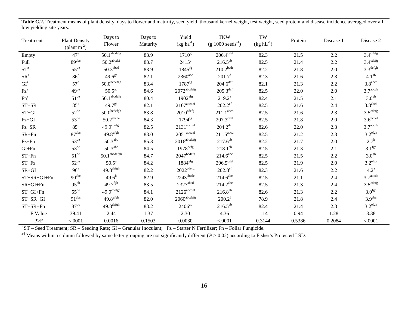| Treatment                           | <b>Plant Density</b><br>(plant $m^{-2}$ ) | Days to<br>Flower                  | Days to<br>Maturity | Yield<br>$(kg ha-1)$                | <b>TKW</b><br>$(g 1000 \text{ seeds}^{-1})$ | TW<br>$(kg hL^{-1})$ | Protein | Disease 1 | Disease 2              |
|-------------------------------------|-------------------------------------------|------------------------------------|---------------------|-------------------------------------|---------------------------------------------|----------------------|---------|-----------|------------------------|
| Empty                               | $47^e$                                    | $50.\overline{1^{\text{abcdefg}}}$ | 83.9                | 1710 <sup>g</sup>                   | $206.\overline{4^{cdef}}$                   | 82.3                 | 21.5    | 2.2       | $3.4$ <sup>cdefg</sup> |
| Full                                | 89abc                                     | $50.2^{\mathrm{abcdef}}$           | 83.7                | $2415^a$                            | $216.5^{ab}$                                | 82.5                 | 21.4    | 2.2       | $3.4^{\text{cdefg}}$   |
| $ST^z$                              | $55^{\text{de}}$                          | 50.3 <sup>abcd</sup>               | 83.9                | $1845$ <sup>fg</sup>                | $210.2$ bcde                                | 82.2                 | 21.8    | $2.0\,$   | $3.3^{\text{defgh}}$   |
| $\mathbf{SR}^{\mathrm{z}}$          | 86 <sup>c</sup>                           | $49.6^{gh}$                        | 82.1                | $2360^{\rm abc}$                    | $201.7^f$                                   | 82.3                 | 21.6    | 2.3       | 4.1 <sup>ab</sup>      |
| $\mathrm{GI}^{\mathrm{z}}$          | $57^{\rm d}$                              | $50.0^{\text{bcdefgh}}$            | 83.4                | $1787$ <sup>fg</sup>                | $204.6^{\rm def}$                           | 82.1                 | 21.3    | 2.2       | 3.8 <sup>abcd</sup>    |
| $\mathbf{F}\mathbf{z}^{\mathbf{z}}$ | 49 <sup>de</sup>                          | $50.5^{ab}$                        | 84.6                | $2072^{\mathrm{abcdefg}}$           | $205.3^{\text{def}}$                        | 82.5                 | 22.0    | $2.0\,$   | 3.7 <sup>abcde</sup>   |
| $\text{Fn}^{\text{z}}$              | $51^{\text{de}}$                          | $50.1^{\rm abcdefg}$               | 80.4                | $1902$ <sup>efg</sup>               | $219.2^a$                                   | 82.4                 | 21.5    | 2.1       | 3.0 <sup>gh</sup>      |
| $ST+SR$                             | $85^{\circ}$                              | 49.7 <sup>gh</sup>                 | 82.1                | $2107$ abcdef                       | $202.2^{\text{ef}}$                         | 82.5                 | 21.6    | 2.4       | 3.8 <sup>abcd</sup>    |
| $ST+GI$                             | $52^{\text{de}}$                          | $50.0^{\rm bcdefgh}$               | 83.8                | $2010^{\mathrm{cdefg}}$             | $211.1^{\rm abcd}$                          | 82.5                 | 21.6    | 2.3       | $3.5^{\text{cdefg}}$   |
| $Fz+GI$                             | $53^{\text{de}}$                          | $50.2^{\text{abcde}}$              | 84.3                | $1794$ <sup>fg</sup>                | $207.3^{\text{cdef}}$                       | 82.5                 | 21.8    | 2.0       | 3.6 <sup>bcdef</sup>   |
| $Fz + SR$                           | $85^{\circ}$                              | $49.9^{\text{cdefgh}}$             | 82.5                | $2131$ <sup>abcdef</sup>            | $204.2^{\text{def}}$                        | 82.6                 | 22.0    | 2.3       | $3.7^{\text{abcde}}$   |
| $SR+Fn$                             | $87^{abc}$                                | $49.8$ efgh                        | 83.0                | $2051^{\mbox{\scriptsize{abcdef}}}$ | $211.5$ <sup>abcd</sup>                     | 82.5                 | 21.2    | 2.3       | $3.2^{\text{efgh}}$    |
| $Fz + Fn$                           | $53^{\text{de}}$                          | $50.3^{\text{abc}}$                | 85.3                | $2016^{\mathrm{abcdefg}}$           | $217.6^{ab}$                                | 82.2                 | 21.7    | $2.0\,$   | 2.7 <sup>h</sup>       |
| $GI + Fn$                           | $53^{\text{de}}$                          | 50.3 <sup>abc</sup>                | 84.5                | $1978$ <sup>defg</sup>              | $218.1^{\rm ab}$                            | 82.5                 | 21.3    | 2.1       | 3.1 <sup>fgh</sup>     |
| $ST + Fn$                           | $51^{\text{de}}$                          | $50.1^{\rm abcdefgh}$              | 84.7                | $2047^{\rm bcdefg}$                 | $214.6$ <sup>abc</sup>                      | 82.5                 | 21.5    | 2.2       | 3.0 <sup>gh</sup>      |
| $ST + Fz$                           | $52^{\text{de}}$                          | $50.5^a$                           | 84.2                | $1884^{\rm efg}$                    | $206.5^{\text{cdef}}$                       | 82.5                 | 21.9    | $2.0\,$   | $3.2^{\text{efgh}}$    |
| $SR+GI$                             | 96 <sup>a</sup>                           | $49.8^{\text{defgh}}$              | 82.2                | $2022^{\text{cdefg}}$               | $202.8^{\text{ef}}$                         | 82.3                 | 21.6    | 2.2       | $4.2^{\rm a}$          |
| $ST+SR+GI+Fn$                       | 90 <sup>abc</sup>                         | $49.6^h$                           | 82.9                | $2243^{\text{abcde}}$               | $214.6^{\rm abc}$                           | 82.5                 | 21.1    | 2.4       | 3.7 <sup>abcde</sup>   |
| $SR+GI+Fn$                          | $95^{ab}$                                 | $49.7$ <sup>fgh</sup>              | 83.5                | $2327$ <sup>abcd</sup>              | $214.2^{abc}$                               | 82.5                 | 21.3    | 2.4       | $3.5^{\text{cdefg}}$   |
| $ST+GI+Fn$                          | $55^{\text{de}}$                          | $49.9^{\text{cdefgh}}$             | 84.1                | $2126^{\mbox{\scriptsize{abcdef}}}$ | $216.8^{\rm ab}$                            | 82.6                 | 21.3    | 2.2       | 3.0 <sup>fgh</sup>     |
| $ST+SR+GI$                          | 91 <sup>abc</sup>                         | $49.8$ <sup>efgh</sup>             | 82.0                | $2060^{\rm abcdefg}$                | $200.2^f$                                   | 78.9                 | 21.8    | 2.4       | 3.9 <sup>abc</sup>     |
| $ST+SR+Fn$                          | $87^{bc}$                                 | $49.8$ <sup>defgh</sup>            | 83.2                | $2406^{ab}$                         | $216.5^{ab}$                                | 82.4                 | 21.4    | 2.3       | $3.2^{\text{efgh}}$    |
| F Value                             | 39.41                                     | 2.44                               | 1.37                | 2.30                                | 4.36                                        | 1.14                 | 0.94    | 1.28      | 3.38                   |
| P>F                                 | < .0001                                   | 0.0016                             | 0.1503              | 0.0030                              | < .0001                                     | 0.3144               | 0.5386  | 0.2084    | < .0001                |

Table C.2. Treatment means of plant density, days to flower and maturity, seed yield, thousand kernel weight, test weight, seed protein and disease incidence averaged over all low yielding site years.

 $z^2$ ST – Seed Treatment; SR – Seeding Rate; GI – Granular Inoculant; Fz – Starter N Fertilizer; Fn – Foliar Fungicide.

<sup>a-j</sup> Means within a column followed by same letter grouping are not significantly different (*P* > 0.05) according to Fisher's Protected LSD.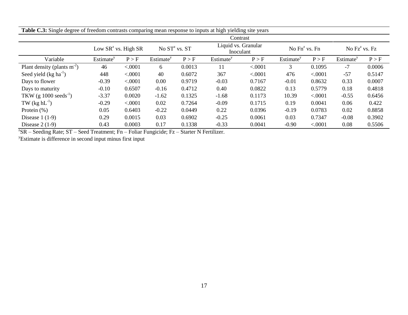| <b>Table C.3:</b> Single degree of freedom contrasts comparing mean response to inputs at high yielding site years |                        |         |                           |        |                                  |         |                       |         |                       |        |  |
|--------------------------------------------------------------------------------------------------------------------|------------------------|---------|---------------------------|--------|----------------------------------|---------|-----------------------|---------|-----------------------|--------|--|
|                                                                                                                    |                        |         |                           |        | Contrast                         |         |                       |         |                       |        |  |
|                                                                                                                    | Low $SR^z$ vs. High SR |         | No ST <sup>z</sup> vs. ST |        | Liquid vs. Granular<br>Inoculant |         | No $Fn^z$ vs. $Fn$    |         | No $Fz^z$ vs. $Fz$    |        |  |
| Variable                                                                                                           | Estimate <sup>y</sup>  | P > F   | Estimate <sup>y</sup>     | P > F  | Estimate <sup>y</sup>            | P > F   | Estimate <sup>y</sup> | P > F   | Estimate <sup>y</sup> | P > F  |  |
| Plant density (plants $m-2$ )                                                                                      | 46                     | < .0001 | 6                         | 0.0013 |                                  | < .0001 | 3                     | 0.1095  | $-7$                  | 0.0006 |  |
| Seed yield $(kg ha-1)$                                                                                             | 448                    | < .0001 | 40                        | 0.6072 | 367                              | < .0001 | 476                   | < .0001 | $-57$                 | 0.5147 |  |
| Days to flower                                                                                                     | $-0.39$                | < .0001 | 0.00                      | 0.9719 | $-0.03$                          | 0.7167  | $-0.01$               | 0.8632  | 0.33                  | 0.0007 |  |
| Days to maturity                                                                                                   | $-0.10$                | 0.6507  | $-0.16$                   | 0.4712 | 0.40                             | 0.0822  | 0.13                  | 0.5779  | 0.18                  | 0.4818 |  |
| TKW (g $1000 \text{ seeds}^{-1}$ )                                                                                 | $-3.37$                | 0.0020  | $-1.62$                   | 0.1325 | $-1.68$                          | 0.1173  | 10.39                 | < .0001 | $-0.55$               | 0.6456 |  |
| TW $(kg hL^{-1})$                                                                                                  | $-0.29$                | < .0001 | 0.02                      | 0.7264 | $-0.09$                          | 0.1715  | 0.19                  | 0.0041  | 0.06                  | 0.422  |  |
| Protein $(\%)$                                                                                                     | 0.05                   | 0.6403  | $-0.22$                   | 0.0449 | 0.22                             | 0.0396  | $-0.19$               | 0.0783  | 0.02                  | 0.8858 |  |
| Disease $1(1-9)$                                                                                                   | 0.29                   | 0.0015  | 0.03                      | 0.6902 | $-0.25$                          | 0.0061  | 0.03                  | 0.7347  | $-0.08$               | 0.3902 |  |
| Disease $2(1-9)$                                                                                                   | 0.43                   | 0.0003  | 0.17                      | 0.1338 | $-0.33$                          | 0.0041  | $-0.90$               | < .0001 | 0.08                  | 0.5506 |  |

**Table C.3:** Single degree of freedom contrasts comparing mean response to inputs at high yielding site years

 ${}^{z}$ SR – Seeding Rate; ST – Seed Treatment; Fn – Foliar Fungicide; Fz – Starter N Fertilizer.

<sup>y</sup>Estimate is difference in second input minus first input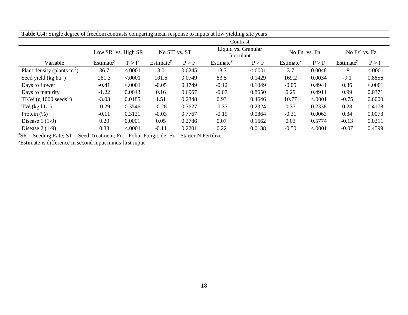| <b>Table C.4:</b> Single degree of freedom contrasts comparing mean response to inputs at low yielding site years |                                              |         |                       |        |                                  |         |                       |         |                       |         |  |
|-------------------------------------------------------------------------------------------------------------------|----------------------------------------------|---------|-----------------------|--------|----------------------------------|---------|-----------------------|---------|-----------------------|---------|--|
|                                                                                                                   |                                              |         |                       |        | Contrast                         |         |                       |         |                       |         |  |
|                                                                                                                   | No $ST^z$ vs. $ST$<br>Low $SR^z$ vs. High SR |         |                       |        | Liquid vs. Granular<br>Inoculant |         | No $Fn^z$ vs. $Fn$    |         | No $Fz^z$ vs. $Fz$    |         |  |
| Variable                                                                                                          | Estimate <sup>y</sup>                        | P > F   | Estimate <sup>y</sup> | P > F  | Estimate <sup>y</sup>            | P > F   | Estimate <sup>y</sup> | P > F   | Estimate <sup>y</sup> | P > F   |  |
| Plant density (plants $m^{-2}$ )                                                                                  | 36.7                                         | < .0001 | 3.0                   | 0.0245 | 13.3                             | < .0001 | 3.7                   | 0.0048  | $-8$                  | < .0001 |  |
| Seed yield (kg ha <sup>-1</sup> )                                                                                 | 281.3                                        | < .0001 | 101.6                 | 0.0749 | 83.5                             | 0.1429  | 169.2                 | 0.0034  | $-9.1$                | 0.8856  |  |
| Days to flower                                                                                                    | $-0.41$                                      | < .0001 | $-0.05$               | 0.4749 | $-0.12$                          | 0.1049  | $-0.05$               | 0.4941  | 0.36                  | < .0001 |  |
| Days to maturity                                                                                                  | $-1.22$                                      | 0.0043  | 0.16                  | 0.6967 | $-0.07$                          | 0.8650  | 0.29                  | 0.4911  | 0.99                  | 0.0371  |  |
| TKW (g $1000 \text{ seeds}^{-1}$ )                                                                                | $-3.03$                                      | 0.0185  | 1.51                  | 0.2348 | 0.93                             | 0.4646  | 10.77                 | < .0001 | $-0.75$               | 0.6000  |  |
| TW $(kg hL^{-1})$                                                                                                 | $-0.29$                                      | 0.3546  | $-0.28$               | 0.3627 | $-0.37$                          | 0.2324  | 0.37                  | 0.2338  | 0.28                  | 0.4178  |  |
| Protein $(\%)$                                                                                                    | $-0.11$                                      | 0.3121  | $-0.03$               | 0.7767 | $-0.19$                          | 0.0864  | $-0.31$               | 0.0063  | 0.34                  | 0.0073  |  |
| Disease $1(1-9)$                                                                                                  | 0.20                                         | 0.0001  | 0.05                  | 0.2786 | 0.07                             | 0.1662  | 0.03                  | 0.5774  | $-0.13$               | 0.0211  |  |
| Disease $2(1-9)$                                                                                                  | 0.38                                         | < .0001 | $-0.11$               | 0.2201 | 0.22                             | 0.0138  | $-0.50$               | < .0001 | $-0.07$               | 0.4599  |  |

**Table C.4:** Single degree of freedom contrasts comparing mean response to inputs at low yielding site years

 ${}^{z}$ SR – Seeding Rate; ST – Seed Treatment; Fn – Foliar Fungicide; Fz – Starter N Fertilizer.

<sup>y</sup>Estimate is difference in second input minus first input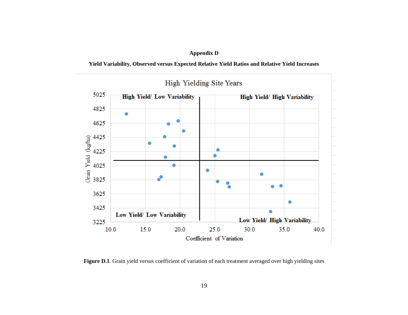# **Appendix D**

**Yield Variability, Observed versus Expected Relative Yield Ratios and Relative Yield Increases**



Figure D.1. Grain yield versus coefficient of variation of each treatment averaged over high yielding sites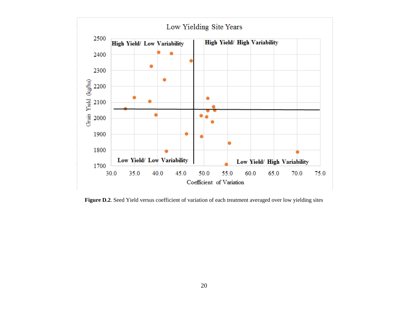

Figure D.2. Seed Yield versus coefficient of variation of each treatment averaged over low yielding sites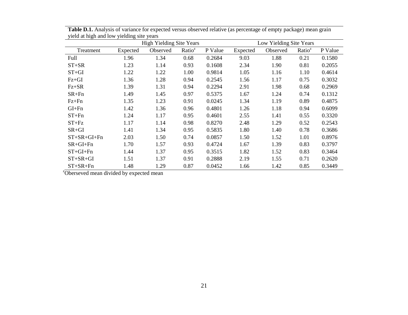|                     |          | <b>High Yielding Site Years</b> |                    | Low Yielding Site Years |          |          |                    |         |
|---------------------|----------|---------------------------------|--------------------|-------------------------|----------|----------|--------------------|---------|
| Treatment           | Expected | Observed                        | Ratio <sup>z</sup> | P Value                 | Expected | Observed | Ratio <sup>z</sup> | P Value |
| Full                | 1.96     | 1.34                            | 0.68               | 0.2684                  | 9.03     | 1.88     | 0.21               | 0.1580  |
| $ST+SR$             | 1.23     | 1.14                            | 0.93               | 0.1608                  | 2.34     | 1.90     | 0.81               | 0.2055  |
| $ST+GI$             | 1.22     | 1.22                            | 1.00               | 0.9814                  | 1.05     | 1.16     | 1.10               | 0.4614  |
| $Fz + GI$           | 1.36     | 1.28                            | 0.94               | 0.2545                  | 1.56     | 1.17     | 0.75               | 0.3032  |
| $Fz + SR$           | 1.39     | 1.31                            | 0.94               | 0.2294                  | 2.91     | 1.98     | 0.68               | 0.2969  |
| $SR+Fn$             | 1.49     | 1.45                            | 0.97               | 0.5375                  | 1.67     | 1.24     | 0.74               | 0.1312  |
| $Fz + Fn$           | 1.35     | 1.23                            | 0.91               | 0.0245                  | 1.34     | 1.19     | 0.89               | 0.4875  |
| $GI + Fn$           | 1.42     | 1.36                            | 0.96               | 0.4801                  | 1.26     | 1.18     | 0.94               | 0.6099  |
| $ST+Fn$             | 1.24     | 1.17                            | 0.95               | 0.4601                  | 2.55     | 1.41     | 0.55               | 0.3320  |
| $ST + Fz$           | 1.17     | 1.14                            | 0.98               | 0.8270                  | 2.48     | 1.29     | 0.52               | 0.2543  |
| SR+GI               | 1.41     | 1.34                            | 0.95               | 0.5835                  | 1.80     | 1.40     | 0.78               | 0.3686  |
| $ST + SR + GI + Fn$ | 2.03     | 1.50                            | 0.74               | 0.0857                  | 1.50     | 1.52     | 1.01               | 0.8976  |
| $SR+GI+Fn$          | 1.70     | 1.57                            | 0.93               | 0.4724                  | 1.67     | 1.39     | 0.83               | 0.3797  |
| $ST+GI+Fn$          | 1.44     | 1.37                            | 0.95               | 0.3515                  | 1.82     | 1.52     | 0.83               | 0.3464  |
| $ST + SR + GI$      | 1.51     | 1.37                            | 0.91               | 0.2888                  | 2.19     | 1.55     | 0.71               | 0.2620  |
| $ST+SR+Fn$          | 1.48     | 1.29                            | 0.87               | 0.0452                  | 1.66     | 1.42     | 0.85               | 0.3449  |

**Table D.1.** Analysis of variance for expected versus observed relative (as percentage of empty package) mean grain yield at high and low yielding site years

<sup>2</sup>Oberseved mean divided by expected mean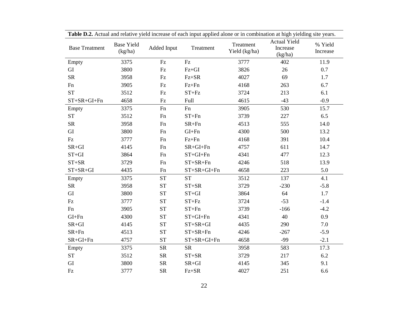|                       |                              |                      | <b>Table D.2.</b> Actual and feialive yield increase of each hiput applied alone of in combination at high yielding site years. |                            |                                     |                     |
|-----------------------|------------------------------|----------------------|---------------------------------------------------------------------------------------------------------------------------------|----------------------------|-------------------------------------|---------------------|
| <b>Base Treatment</b> | <b>Base Yield</b><br>(kg/ha) | Added Input          | Treatment                                                                                                                       | Treatment<br>Yield (kg/ha) | Actual Yield<br>Increase<br>(kg/ha) | % Yield<br>Increase |
| Empty                 | 3375                         | Fz                   | $\mathop{\mathrm{Fz}}$                                                                                                          | 3777                       | 402                                 | 11.9                |
| GI                    | 3800                         | $\mathop{\text{Fz}}$ | $Fz+GI$                                                                                                                         | 3826                       | 26                                  | 0.7                 |
| ${\rm SR}$            | 3958                         | $\mathop{\text{Fz}}$ | $Fz + SR$                                                                                                                       | 4027                       | 69                                  | 1.7                 |
| Fn                    | 3905                         | $\mathop{\text{Fz}}$ | $Fz + Fn$                                                                                                                       | 4168                       | 263                                 | 6.7                 |
| <b>ST</b>             | 3512                         | Fz                   | $ST + Fz$                                                                                                                       | 3724                       | 213                                 | 6.1                 |
| $ST+SR+GI+Fn$         | 4658                         | Fz                   | <b>Full</b>                                                                                                                     | 4615                       | $-43$                               | $-0.9$              |
| Empty                 | 3375                         | Fn                   | Fn                                                                                                                              | 3905                       | 530                                 | 15.7                |
| <b>ST</b>             | 3512                         | Fn                   | $ST+Fn$                                                                                                                         | 3739                       | 227                                 | 6.5                 |
| ${\rm SR}$            | 3958                         | Fn                   | $SR+Fn$                                                                                                                         | 4513                       | 555                                 | 14.0                |
| ${\rm GI}$            | 3800                         | Fn                   | $GI+Fn$                                                                                                                         | 4300                       | 500                                 | 13.2                |
| Fz                    | 3777                         | Fn                   | $Fz + Fn$                                                                                                                       | 4168                       | 391                                 | 10.4                |
| $SR+GI$               | 4145                         | Fn                   | $SR+GI+Fn$                                                                                                                      | 4757                       | 611                                 | 14.7                |
| $ST+GI$               | 3864                         | Fn                   | $ST+GI+Fn$                                                                                                                      | 4341                       | 477                                 | 12.3                |
| $ST+SR$               | 3729                         | Fn                   | $ST+SR+Fn$                                                                                                                      | 4246                       | 518                                 | 13.9                |
| $ST + SR + GI$        | 4435                         | Fn                   | $ST+SR+GI+Fn$                                                                                                                   | 4658                       | 223                                 | 5.0                 |
| Empty                 | 3375                         | <b>ST</b>            | <b>ST</b>                                                                                                                       | 3512                       | 137                                 | 4.1                 |
| <b>SR</b>             | 3958                         | <b>ST</b>            | $ST+SR$                                                                                                                         | 3729                       | $-230$                              | $-5.8$              |
| GI                    | 3800                         | ${\cal S}{\cal T}$   | $ST+GI$                                                                                                                         | 3864                       | 64                                  | 1.7                 |
| Fz                    | 3777                         | <b>ST</b>            | $ST + Fz$                                                                                                                       | 3724                       | $-53$                               | $-1.4$              |
| Fn                    | 3905                         | <b>ST</b>            | $ST+Fn$                                                                                                                         | 3739                       | $-166$                              | $-4.2$              |
| $GI + Fn$             | 4300                         | ${\cal S}{\cal T}$   | $ST+GI+Fn$                                                                                                                      | 4341                       | 40                                  | 0.9                 |
| $SR+GI$               | 4145                         | ${\cal S}{\cal T}$   | $ST+SR+GI$                                                                                                                      | 4435                       | 290                                 | $7.0\,$             |
| $SR+Fn$               | 4513                         | <b>ST</b>            | $ST+SR+Fn$                                                                                                                      | 4246                       | $-267$                              | $-5.9$              |
| $SR+GI+Fn$            | 4757                         | ${\cal S}{\cal T}$   | $ST+SR+GI+Fn$                                                                                                                   | 4658                       | $-99$                               | $-2.1$              |
| Empty                 | 3375                         | <b>SR</b>            | <b>SR</b>                                                                                                                       | 3958                       | 583                                 | 17.3                |
| <b>ST</b>             | 3512                         | ${\rm SR}$           | $ST+SR$                                                                                                                         | 3729                       | 217                                 | 6.2                 |
| GI                    | 3800                         | ${\rm SR}$           | $SR+GI$                                                                                                                         | 4145                       | 345                                 | 9.1                 |
| Fz                    | 3777                         | <b>SR</b>            | $Fz + SR$                                                                                                                       | 4027                       | 251                                 | 6.6                 |

**Table D.2.** Actual and relative yield increase of each input applied alone or in combination at high yielding site years.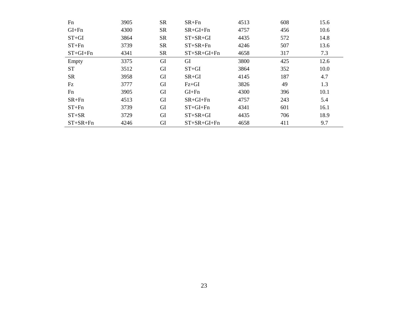| Fn         | 3905 | <b>SR</b> | $SR+Fn$        | 4513 | 608 | 15.6 |
|------------|------|-----------|----------------|------|-----|------|
| $GI + Fn$  | 4300 | <b>SR</b> | $SR+GI+Fn$     | 4757 | 456 | 10.6 |
| $ST+GI$    | 3864 | <b>SR</b> | $ST+SR+GI$     | 4435 | 572 | 14.8 |
| $ST + Fn$  | 3739 | <b>SR</b> | $ST+SR+Fn$     | 4246 | 507 | 13.6 |
| $ST+GI+Fn$ | 4341 | <b>SR</b> | $ST+SR+GI+Fn$  | 4658 | 317 | 7.3  |
| Empty      | 3375 | GI        | GI             | 3800 | 425 | 12.6 |
| <b>ST</b>  | 3512 | GI        | $ST+GI$        | 3864 | 352 | 10.0 |
| <b>SR</b>  | 3958 | GI        | $SR+GI$        | 4145 | 187 | 4.7  |
| Fz         | 3777 | GI        | $Fz + GI$      | 3826 | 49  | 1.3  |
| Fn         | 3905 | GI        | $GI + Fn$      | 4300 | 396 | 10.1 |
| $SR + Fn$  | 4513 | GI        | $SR+GI+Fn$     | 4757 | 243 | 5.4  |
| $ST + Fn$  | 3739 | GI        | $ST+GI+Fn$     | 4341 | 601 | 16.1 |
| $ST+SR$    | 3729 | GI        | $ST + SR + GI$ | 4435 | 706 | 18.9 |
| $ST+SR+Fn$ | 4246 | GI        | $ST+SR+GI+Fn$  | 4658 | 411 | 9.7  |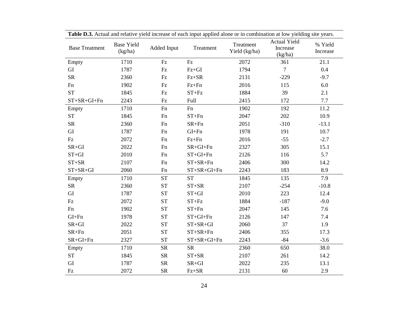| <b>Table D.S.</b> Actual and relative yield increase of each hiput applied alone of in combination at low yielding site years. |                              |                            |                        |                            |                                            |                     |  |  |  |
|--------------------------------------------------------------------------------------------------------------------------------|------------------------------|----------------------------|------------------------|----------------------------|--------------------------------------------|---------------------|--|--|--|
| <b>Base Treatment</b>                                                                                                          | <b>Base Yield</b><br>(kg/ha) | Added Input                | Treatment              | Treatment<br>Yield (kg/ha) | <b>Actual Yield</b><br>Increase<br>(kg/ha) | % Yield<br>Increase |  |  |  |
| Empty                                                                                                                          | 1710                         | Fz                         | $\mathbf{F}\mathbf{z}$ | 2072                       | 361                                        | 21.1                |  |  |  |
| GI                                                                                                                             | 1787                         | $\mathop{\rm Fz}\nolimits$ | $Fz+GI$                | 1794                       | $\overline{7}$                             | 0.4                 |  |  |  |
| ${\rm SR}$                                                                                                                     | 2360                         | Fz                         | $Fz + SR$              | 2131                       | $-229$                                     | $-9.7$              |  |  |  |
| Fn                                                                                                                             | 1902                         | $\mathop{\text{Fz}}$       | $Fz + Fn$              | 2016                       | 115                                        | 6.0                 |  |  |  |
| <b>ST</b>                                                                                                                      | 1845                         | Fz                         | $ST + Fz$              | 1884                       | 39                                         | 2.1                 |  |  |  |
| $ST+SR+GI+Fn$                                                                                                                  | 2243                         | $\mathop{\rm Fz}\nolimits$ | Full                   | 2415                       | 172                                        | 7.7                 |  |  |  |
| Empty                                                                                                                          | 1710                         | Fn                         | Fn                     | 1902                       | 192                                        | 11.2                |  |  |  |
| <b>ST</b>                                                                                                                      | 1845                         | Fn                         | $ST+Fn$                | 2047                       | 202                                        | 10.9                |  |  |  |
| ${\rm SR}$                                                                                                                     | 2360                         | Fn                         | $SR+Fn$                | 2051                       | $-310$                                     | $-13.1$             |  |  |  |
| GI                                                                                                                             | 1787                         | Fn                         | $GI + Fn$              | 1978                       | 191                                        | 10.7                |  |  |  |
| $\mathop{\text{Fz}}$                                                                                                           | 2072                         | Fn                         | $Fz + Fn$              | 2016                       | $-55$                                      | $-2.7$              |  |  |  |
| $SR+GI$                                                                                                                        | 2022                         | Fn                         | $SR+GI+Fn$             | 2327                       | 305                                        | 15.1                |  |  |  |
| $ST+GI$                                                                                                                        | 2010                         | Fn                         | $ST+GI+Fn$             | 2126                       | 116                                        | 5.7                 |  |  |  |
| $ST+SR$                                                                                                                        | 2107                         | Fn                         | $ST+SR+Fn$             | 2406                       | 300                                        | 14.2                |  |  |  |
| $ST+SR+GI$                                                                                                                     | 2060                         | Fn                         | $ST+SR+GI+Fn$          | 2243                       | 183                                        | 8.9                 |  |  |  |
| Empty                                                                                                                          | 1710                         | <b>ST</b>                  | <b>ST</b>              | 1845                       | 135                                        | 7.9                 |  |  |  |
| ${\rm SR}$                                                                                                                     | 2360                         | <b>ST</b>                  | $ST+SR$                | 2107                       | $-254$                                     | $-10.8$             |  |  |  |
| GI                                                                                                                             | 1787                         | <b>ST</b>                  | $ST+GI$                | 2010                       | 223                                        | 12.4                |  |  |  |
| Fz                                                                                                                             | 2072                         | <b>ST</b>                  | $ST + Fz$              | 1884                       | $-187$                                     | $-9.0$              |  |  |  |
| Fn                                                                                                                             | 1902                         | <b>ST</b>                  | $ST+Fn$                | 2047                       | 145                                        | 7.6                 |  |  |  |
| $GI + Fn$                                                                                                                      | 1978                         | <b>ST</b>                  | $ST+GI+Fn$             | 2126                       | 147                                        | 7.4                 |  |  |  |
| $SR+GI$                                                                                                                        | 2022                         | <b>ST</b>                  | $ST+SR+GI$             | 2060                       | 37                                         | 1.9                 |  |  |  |
| $SR+Fn$                                                                                                                        | 2051                         | <b>ST</b>                  | $ST+SR+Fn$             | 2406                       | 355                                        | 17.3                |  |  |  |
| $SR+GI+Fn$                                                                                                                     | 2327                         | <b>ST</b>                  | $ST+SR+GI+Fn$          | 2243                       | $-84$                                      | $-3.6$              |  |  |  |
| Empty                                                                                                                          | 1710                         | <b>SR</b>                  | <b>SR</b>              | 2360                       | 650                                        | 38.0                |  |  |  |
| <b>ST</b>                                                                                                                      | 1845                         | ${\rm SR}$                 | $ST+SR$                | 2107                       | 261                                        | 14.2                |  |  |  |
| GI                                                                                                                             | 1787                         | <b>SR</b>                  | $SR+GI$                | 2022                       | 235                                        | 13.1                |  |  |  |
| $\mathop{\text{Fz}}$                                                                                                           | 2072                         | <b>SR</b>                  | $Fz + SR$              | 2131                       | 60                                         | 2.9                 |  |  |  |

**Table D.3.** Actual and relative yield increase of each input applied alone or in combination at low yielding site years.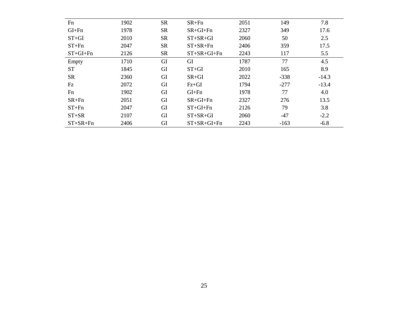| Fn         | 1902 | <b>SR</b> | $SR+Fn$        | 2051 | 149    | 7.8     |
|------------|------|-----------|----------------|------|--------|---------|
| $GI + Fn$  | 1978 | <b>SR</b> | $SR+GI+Fn$     | 2327 | 349    | 17.6    |
| $ST+GI$    | 2010 | <b>SR</b> | $ST + SR + GI$ | 2060 | 50     | 2.5     |
| $ST + Fn$  | 2047 | <b>SR</b> | $ST+SR+Fn$     | 2406 | 359    | 17.5    |
| $ST+GI+Fn$ | 2126 | <b>SR</b> | $ST+SR+GI+Fn$  | 2243 | 117    | 5.5     |
| Empty      | 1710 | GI        | GI             | 1787 | 77     | 4.5     |
| <b>ST</b>  | 1845 | GI        | $ST+GI$        | 2010 | 165    | 8.9     |
| <b>SR</b>  | 2360 | GI        | $SR+GI$        | 2022 | $-338$ | $-14.3$ |
| Fz         | 2072 | GI        | $Fz + GI$      | 1794 | $-277$ | $-13.4$ |
| Fn         | 1902 | GI        | $GI + Fn$      | 1978 | 77     | 4.0     |
| $SR+Fn$    | 2051 | GI        | $SR+GI+Fn$     | 2327 | 276    | 13.5    |
| $ST + Fn$  | 2047 | GI        | $ST+GI+Fn$     | 2126 | 79     | 3.8     |
| $ST+SR$    | 2107 | GI        | $ST + SR + GI$ | 2060 | $-47$  | $-2.2$  |
| $ST+SR+Fn$ | 2406 | GI        | $ST+SR+GI+Fn$  | 2243 | $-163$ | $-6.8$  |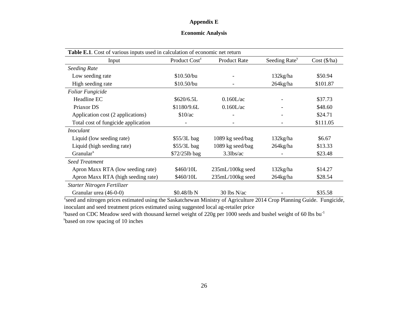# **Appendix E**

# **Economic Analysis**

| Table E.1. Cost of various inputs used in calculation of economic net return |                           |                                       |                           |              |  |  |  |  |  |
|------------------------------------------------------------------------------|---------------------------|---------------------------------------|---------------------------|--------------|--|--|--|--|--|
| Input                                                                        | Product Cost <sup>z</sup> | <b>Product Rate</b>                   | Seeding Rate <sup>y</sup> | Cost (\$/ha) |  |  |  |  |  |
| <b>Seeding Rate</b>                                                          |                           |                                       |                           |              |  |  |  |  |  |
| Low seeding rate                                                             | \$10.50/bu                |                                       | 132kg/ha                  | \$50.94      |  |  |  |  |  |
| High seeding rate                                                            | \$10.50/bu                |                                       | $264$ kg/ha               | \$101.87     |  |  |  |  |  |
| <b>Foliar Fungicide</b>                                                      |                           |                                       |                           |              |  |  |  |  |  |
| Headline EC                                                                  | \$620/6.5L                | 0.160L/ac                             |                           | \$37.73      |  |  |  |  |  |
| Priaxor DS                                                                   | \$1180/9.6L               | 0.160L/ac                             |                           | \$48.60      |  |  |  |  |  |
| Application cost (2 applications)                                            | \$10/ac                   |                                       |                           | \$24.71      |  |  |  |  |  |
| Total cost of fungicide application                                          |                           |                                       |                           | \$111.05     |  |  |  |  |  |
| <i>Inoculant</i>                                                             |                           |                                       |                           |              |  |  |  |  |  |
| Liquid (low seeding rate)                                                    | \$55/3L bag               | 1089 kg seed/bag                      | $132$ kg/ha               | \$6.67       |  |  |  |  |  |
| Liquid (high seeding rate)                                                   | \$55/3L bag               | 1089 kg seed/bag                      | $264$ kg/ha               | \$13.33      |  |  |  |  |  |
| Granular $x^x$                                                               | \$72/25lb bag             | $3.3$ lbs/ac                          |                           | \$23.48      |  |  |  |  |  |
| <b>Seed Treatment</b>                                                        |                           |                                       |                           |              |  |  |  |  |  |
| Apron Maxx RTA (low seeding rate)                                            | \$460/10L                 | $235 \text{m}$ L/100 $\text{kg}$ seed | $132\text{kg/ha}$         | \$14.27      |  |  |  |  |  |
| Apron Maxx RTA (high seeding rate)                                           | \$460/10L                 | 235mL/100kg seed                      | $264$ kg/ha               | \$28.54      |  |  |  |  |  |
| Starter Nitrogen Fertilizer                                                  |                           |                                       |                           |              |  |  |  |  |  |
| Granular urea (46-0-0)                                                       | \$0.48/lb N               | $30$ lbs N/ac                         |                           | \$35.58      |  |  |  |  |  |

<sup>z</sup>seed and nitrogen prices estimated using the Saskatchewan Ministry of Agriculture 2014 Crop Planning Guide. Fungicide, inoculant and seed treatment prices estimated using suggested local ag-retailer price

<sup>y</sup>based on CDC Meadow seed with thousand kernel weight of 220g per 1000 seeds and bushel weight of 60 lbs bu<sup>-1</sup> x based on row spacing of 10 inches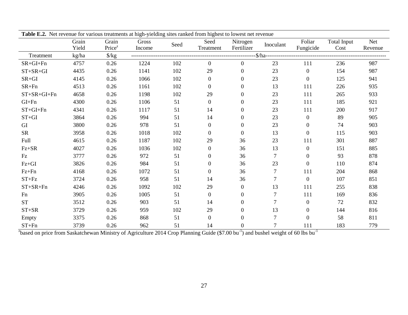| <b>Table E.2.</b> Net revenue for various treatments at high-yielding sites ranked from highest to lowest net revenue |       |                    |        |      |                  |                |                |                  |             |            |
|-----------------------------------------------------------------------------------------------------------------------|-------|--------------------|--------|------|------------------|----------------|----------------|------------------|-------------|------------|
|                                                                                                                       | Grain | Grain              | Gross  | Seed | Seed             | Nitrogen       | Inoculant      | Foliar           | Total Input | <b>Net</b> |
|                                                                                                                       | Yield | Price <sup>z</sup> | Income |      | Treatment        | Fertilizer     |                | Fungicide        | Cost        | Revenue    |
| Treatment                                                                                                             | kg/ha | $\frac{\pi}{8}$    |        |      |                  |                |                |                  |             |            |
| $SR+GI+Fn$                                                                                                            | 4757  | 0.26               | 1224   | 102  | $\overline{0}$   | $\overline{0}$ | 23             | 111              | 236         | 987        |
| $ST+SR+GI$                                                                                                            | 4435  | 0.26               | 1141   | 102  | 29               | $\overline{0}$ | 23             | $\mathbf{0}$     | 154         | 987        |
| $SR+GI$                                                                                                               | 4145  | 0.26               | 1066   | 102  | $\boldsymbol{0}$ | $\Omega$       | 23             | $\boldsymbol{0}$ | 125         | 941        |
| $SR+Fn$                                                                                                               | 4513  | 0.26               | 1161   | 102  | $\boldsymbol{0}$ | $\Omega$       | 13             | 111              | 226         | 935        |
| $ST+SR+GI+Fn$                                                                                                         | 4658  | 0.26               | 1198   | 102  | 29               | $\Omega$       | 23             | 111              | 265         | 933        |
| $GI + Fn$                                                                                                             | 4300  | 0.26               | 1106   | 51   | $\overline{0}$   | $\Omega$       | 23             | 111              | 185         | 921        |
| $ST+GI+Fn$                                                                                                            | 4341  | 0.26               | 1117   | 51   | 14               | $\Omega$       | 23             | 111              | 200         | 917        |
| $ST+GI$                                                                                                               | 3864  | 0.26               | 994    | 51   | 14               | $\Omega$       | 23             | $\overline{0}$   | 89          | 905        |
| GI                                                                                                                    | 3800  | 0.26               | 978    | 51   | $\overline{0}$   | $\Omega$       | 23             | $\mathbf{0}$     | 74          | 903        |
| <b>SR</b>                                                                                                             | 3958  | 0.26               | 1018   | 102  | $\overline{0}$   | $\Omega$       | 13             | $\mathbf{0}$     | 115         | 903        |
| Full                                                                                                                  | 4615  | 0.26               | 1187   | 102  | 29               | 36             | 23             | 111              | 301         | 887        |
| $\mbox{Fz+SR}$                                                                                                        | 4027  | 0.26               | 1036   | 102  | $\boldsymbol{0}$ | 36             | 13             | $\overline{0}$   | 151         | 885        |
| Fz                                                                                                                    | 3777  | 0.26               | 972    | 51   | $\boldsymbol{0}$ | 36             | $\overline{7}$ | $\boldsymbol{0}$ | 93          | 878        |
| $Fz+GI$                                                                                                               | 3826  | 0.26               | 984    | 51   | $\boldsymbol{0}$ | 36             | 23             | $\boldsymbol{0}$ | 110         | 874        |
| $Fz + Fn$                                                                                                             | 4168  | 0.26               | 1072   | 51   | $\boldsymbol{0}$ | 36             | 7              | 111              | 204         | 868        |
| $ST + Fz$                                                                                                             | 3724  | 0.26               | 958    | 51   | 14               | 36             | 7              | $\overline{0}$   | 107         | 851        |
| $ST+SR+Fn$                                                                                                            | 4246  | 0.26               | 1092   | 102  | 29               | $\theta$       | 13             | 111              | 255         | 838        |
| Fn                                                                                                                    | 3905  | 0.26               | 1005   | 51   | $\boldsymbol{0}$ | 0              | 7              | 111              | 169         | 836        |
| <b>ST</b>                                                                                                             | 3512  | 0.26               | 903    | 51   | 14               | $\Omega$       | 7              | $\boldsymbol{0}$ | 72          | 832        |
| $ST+SR$                                                                                                               | 3729  | 0.26               | 959    | 102  | 29               | $\Omega$       | 13             | $\boldsymbol{0}$ | 144         | 816        |
| Empty                                                                                                                 | 3375  | 0.26               | 868    | 51   | $\boldsymbol{0}$ | $\Omega$       | 7              | $\boldsymbol{0}$ | 58          | 811        |
| $ST + Fn$                                                                                                             | 3739  | 0.26               | 962    | 51   | 14               | $\overline{0}$ |                | 111              | 183         | 779        |

**Table E.2.** Net revenue for various treatments at high-yielding sites ranked from highest to lowest net revenue

<sup>2</sup>based on price from Saskatchewan Ministry of Agriculture 2014 Crop Planning Guide (\$7.00 bu<sup>-1</sup>) and bushel weight of 60 lbs bu<sup>-1</sup>